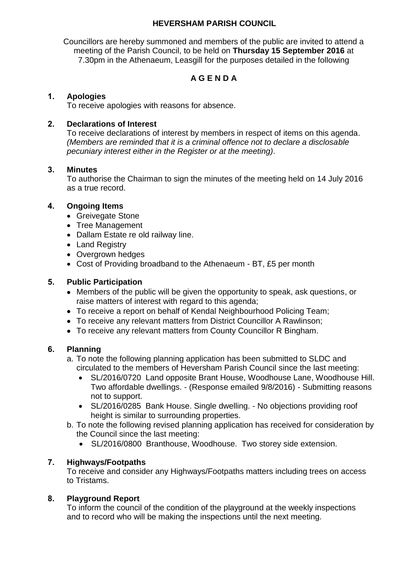## **HEVERSHAM PARISH COUNCIL**

Councillors are hereby summoned and members of the public are invited to attend a meeting of the Parish Council, to be held on **Thursday 15 September 2016** at 7.30pm in the Athenaeum, Leasgill for the purposes detailed in the following

# **A G E N D A**

## **1. Apologies**

To receive apologies with reasons for absence.

## **2. Declarations of Interest**

To receive declarations of interest by members in respect of items on this agenda. *(Members are reminded that it is a criminal offence not to declare a disclosable pecuniary interest either in the Register or at the meeting)*.

### **3. Minutes**

To authorise the Chairman to sign the minutes of the meeting held on 14 July 2016 as a true record.

### **4. Ongoing Items**

- Greivegate Stone
- Tree Management
- Dallam Estate re old railway line.
- Land Registry
- Overgrown hedges
- Cost of Providing broadband to the Athenaeum BT, £5 per month

### **5. Public Participation**

- Members of the public will be given the opportunity to speak, ask questions, or raise matters of interest with regard to this agenda;
- To receive a report on behalf of Kendal Neighbourhood Policing Team;
- To receive any relevant matters from District Councillor A Rawlinson;
- To receive any relevant matters from County Councillor R Bingham.

#### **6. Planning**

- a. To note the following planning application has been submitted to SLDC and circulated to the members of Heversham Parish Council since the last meeting:
	- SL/2016/0720 Land opposite Brant House, Woodhouse Lane, Woodhouse Hill. Two affordable dwellings. - (Response emailed 9/8/2016) - Submitting reasons not to support.
	- SL/2016/0285 Bank House. Single dwelling. No objections providing roof height is similar to surrounding properties.
- b. To note the following revised planning application has received for consideration by the Council since the last meeting:
	- SL/2016/0800 Branthouse, Woodhouse. Two storey side extension.

#### **7. Highways/Footpaths**

To receive and consider any Highways/Footpaths matters including trees on access to Tristams.

#### **8. Playground Report**

To inform the council of the condition of the playground at the weekly inspections and to record who will be making the inspections until the next meeting.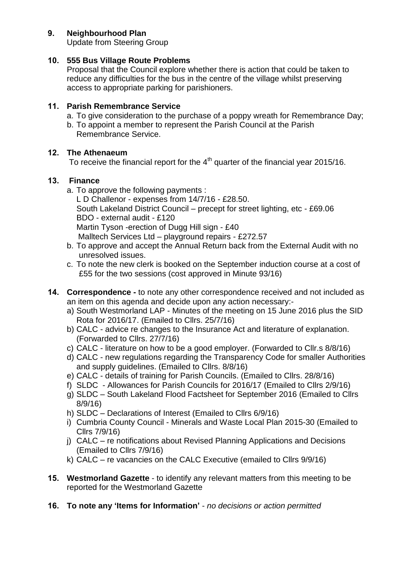## **9. Neighbourhood Plan**

Update from Steering Group

## **10. 555 Bus Village Route Problems**

Proposal that the Council explore whether there is action that could be taken to reduce any difficulties for the bus in the centre of the village whilst preserving access to appropriate parking for parishioners.

## **11. Parish Remembrance Service**

- a. To give consideration to the purchase of a poppy wreath for Remembrance Day;
- b. To appoint a member to represent the Parish Council at the Parish Remembrance Service.

## **12. The Athenaeum**

To receive the financial report for the  $4<sup>th</sup>$  quarter of the financial year 2015/16.

### **13. Finance**

a. To approve the following payments :

L D Challenor - expenses from 14/7/16 - £28.50. South Lakeland District Council – precept for street lighting, etc - £69.06 BDO - external audit - £120 Martin Tyson -erection of Dugg Hill sign - £40 Malltech Services Ltd – playground repairs - £272.57

- b. To approve and accept the Annual Return back from the External Audit with no unresolved issues.
- c. To note the new clerk is booked on the September induction course at a cost of £55 for the two sessions (cost approved in Minute 93/16)
- **14. Correspondence -** to note any other correspondence received and not included as an item on this agenda and decide upon any action necessary:
	- a) South Westmorland LAP Minutes of the meeting on 15 June 2016 plus the SID Rota for 2016/17. (Emailed to Cllrs. 25/7/16)
	- b) CALC advice re changes to the Insurance Act and literature of explanation. (Forwarded to Cllrs. 27/7/16)
	- c) CALC literature on how to be a good employer. (Forwarded to Cllr.s 8/8/16)
	- d) CALC new regulations regarding the Transparency Code for smaller Authorities and supply guidelines. (Emailed to Cllrs. 8/8/16)
	- e) CALC details of training for Parish Councils. (Emailed to Cllrs. 28/8/16)
	- f) SLDC Allowances for Parish Councils for 2016/17 (Emailed to Cllrs 2/9/16)
	- g) SLDC South Lakeland Flood Factsheet for September 2016 (Emailed to Cllrs 8/9/16)
	- h) SLDC Declarations of Interest (Emailed to Cllrs 6/9/16)
	- i) Cumbria County Council Minerals and Waste Local Plan 2015-30 (Emailed to Cllrs 7/9/16)
	- j) CALC re notifications about Revised Planning Applications and Decisions (Emailed to Cllrs 7/9/16)
	- k) CALC re vacancies on the CALC Executive (emailed to Cllrs 9/9/16)
- **15. Westmorland Gazette**  to identify any relevant matters from this meeting to be reported for the Westmorland Gazette
- **16. To note any 'Items for Information'** *no decisions or action permitted*